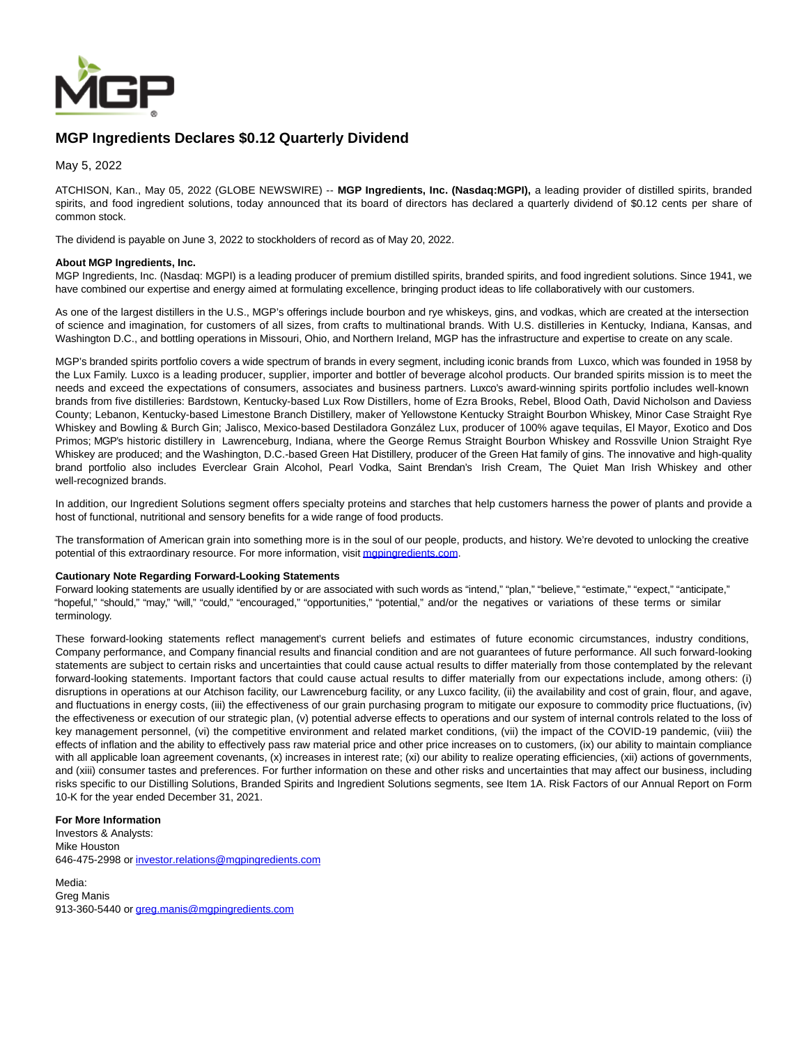

## **MGP Ingredients Declares \$0.12 Quarterly Dividend**

May 5, 2022

ATCHISON, Kan., May 05, 2022 (GLOBE NEWSWIRE) -- **MGP Ingredients, Inc. (Nasdaq:MGPI),** a leading provider of distilled spirits, branded spirits, and food ingredient solutions, today announced that its board of directors has declared a quarterly dividend of \$0.12 cents per share of common stock.

The dividend is payable on June 3, 2022 to stockholders of record as of May 20, 2022.

## **About MGP Ingredients, Inc.**

MGP Ingredients, Inc. (Nasdaq: MGPI) is a leading producer of premium distilled spirits, branded spirits, and food ingredient solutions. Since 1941, we have combined our expertise and energy aimed at formulating excellence, bringing product ideas to life collaboratively with our customers.

As one of the largest distillers in the U.S., MGP's offerings include bourbon and rye whiskeys, gins, and vodkas, which are created at the intersection of science and imagination, for customers of all sizes, from crafts to multinational brands. With U.S. distilleries in Kentucky, Indiana, Kansas, and Washington D.C., and bottling operations in Missouri, Ohio, and Northern Ireland, MGP has the infrastructure and expertise to create on any scale.

MGP's branded spirits portfolio covers a wide spectrum of brands in every segment, including iconic brands from Luxco, which was founded in 1958 by the Lux Family. Luxco is a leading producer, supplier, importer and bottler of beverage alcohol products. Our branded spirits mission is to meet the needs and exceed the expectations of consumers, associates and business partners. Luxco's award-winning spirits portfolio includes well-known brands from five distilleries: Bardstown, Kentucky-based Lux Row Distillers, home of Ezra Brooks, Rebel, Blood Oath, David Nicholson and Daviess County; Lebanon, Kentucky-based Limestone Branch Distillery, maker of Yellowstone Kentucky Straight Bourbon Whiskey, Minor Case Straight Rye Whiskey and Bowling & Burch Gin; Jalisco, Mexico-based Destiladora González Lux, producer of 100% agave tequilas, El Mayor, Exotico and Dos Primos; MGP's historic distillery in Lawrenceburg, Indiana, where the George Remus Straight Bourbon Whiskey and Rossville Union Straight Rye Whiskey are produced; and the Washington, D.C.-based Green Hat Distillery, producer of the Green Hat family of gins. The innovative and high-quality brand portfolio also includes Everclear Grain Alcohol, Pearl Vodka, Saint Brendan's Irish Cream, The Quiet Man Irish Whiskey and other well-recognized brands.

In addition, our Ingredient Solutions segment offers specialty proteins and starches that help customers harness the power of plants and provide a host of functional, nutritional and sensory benefits for a wide range of food products.

The transformation of American grain into something more is in the soul of our people, products, and history. We're devoted to unlocking the creative potential of this extraordinary resource. For more information, visit mapingredients.com.

## **Cautionary Note Regarding Forward-Looking Statements**

Forward looking statements are usually identified by or are associated with such words as "intend," "plan," "believe," "estimate," "expect," "anticipate," "hopeful," "should," "may," "will," "could," "encouraged," "opportunities," "potential," and/or the negatives or variations of these terms or similar terminology.

These forward-looking statements reflect management's current beliefs and estimates of future economic circumstances, industry conditions, Company performance, and Company financial results and financial condition and are not guarantees of future performance. All such forward-looking statements are subject to certain risks and uncertainties that could cause actual results to differ materially from those contemplated by the relevant forward-looking statements. Important factors that could cause actual results to differ materially from our expectations include, among others: (i) disruptions in operations at our Atchison facility, our Lawrenceburg facility, or any Luxco facility, (ii) the availability and cost of grain, flour, and agave, and fluctuations in energy costs, (iii) the effectiveness of our grain purchasing program to mitigate our exposure to commodity price fluctuations, (iv) the effectiveness or execution of our strategic plan, (v) potential adverse effects to operations and our system of internal controls related to the loss of key management personnel, (vi) the competitive environment and related market conditions, (vii) the impact of the COVID-19 pandemic, (viii) the effects of inflation and the ability to effectively pass raw material price and other price increases on to customers, (ix) our ability to maintain compliance with all applicable loan agreement covenants, (x) increases in interest rate; (xi) our ability to realize operating efficiencies, (xii) actions of governments, and (xiii) consumer tastes and preferences. For further information on these and other risks and uncertainties that may affect our business, including risks specific to our Distilling Solutions, Branded Spirits and Ingredient Solutions segments, see Item 1A. Risk Factors of our Annual Report on Form 10-K for the year ended December 31, 2021.

## **For More Information**

Investors & Analysts: Mike Houston 646-475-2998 or [investor.relations@mgpingredients.com](mailto:investor.relations@mgpingredients.com)

Media: Greg Manis 913-360-5440 or [greg.manis@mgpingredients.com](mailto:greg.manis@mgpingredients.com)